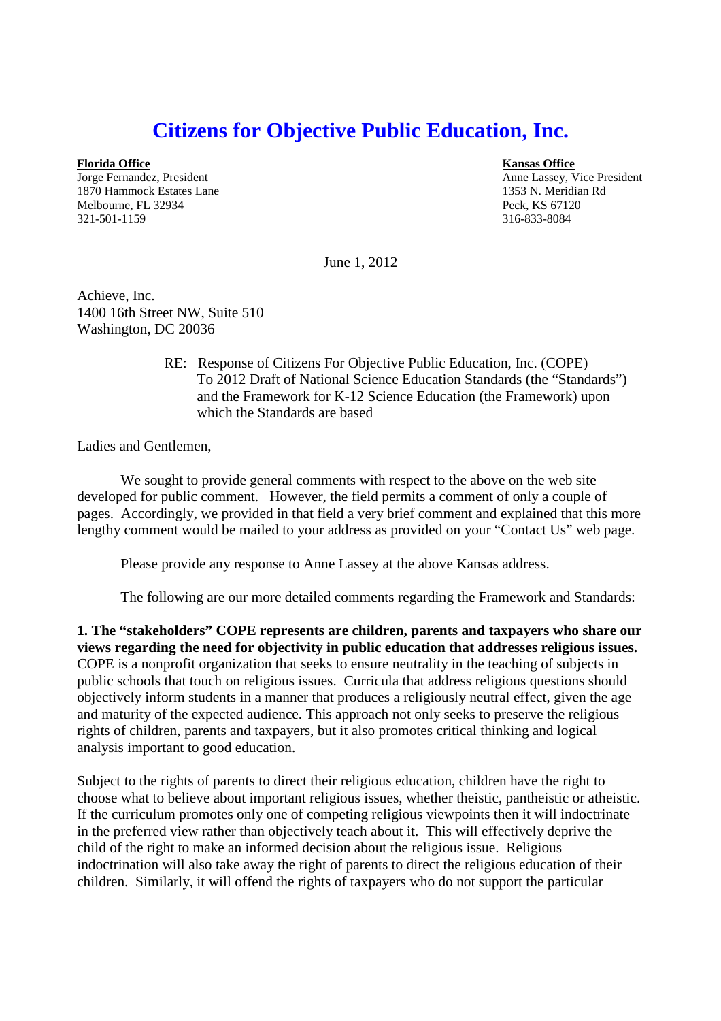## **Citizens for Objective Public Education, Inc.**

**Florida Office Kansas Office**

1870 Hammock Estates Lane 1353 N. Meridian Rd Melbourne, FL 32934 Peck, KS 67120 321-501-1159 316-833-8084

Jorge Fernandez, President Anne Lassey, Vice President Anne Lassey, Vice President

June 1, 2012

Achieve, Inc. 1400 16th Street NW, Suite 510 Washington, DC 20036

> RE: Response of Citizens For Objective Public Education, Inc. (COPE) To 2012 Draft of National Science Education Standards (the "Standards") and the Framework for K-12 Science Education (the Framework) upon which the Standards are based

Ladies and Gentlemen,

We sought to provide general comments with respect to the above on the web site developed for public comment. However, the field permits a comment of only a couple of pages. Accordingly, we provided in that field a very brief comment and explained that this more lengthy comment would be mailed to your address as provided on your "Contact Us" web page.

Please provide any response to Anne Lassey at the above Kansas address.

The following are our more detailed comments regarding the Framework and Standards:

**1. The "stakeholders" COPE represents are children, parents and taxpayers who share our views regarding the need for objectivity in public education that addresses religious issues.** COPE is a nonprofit organization that seeks to ensure neutrality in the teaching of subjects in public schools that touch on religious issues. Curricula that address religious questions should objectively inform students in a manner that produces a religiously neutral effect, given the age and maturity of the expected audience. This approach not only seeks to preserve the religious rights of children, parents and taxpayers, but it also promotes critical thinking and logical analysis important to good education.

Subject to the rights of parents to direct their religious education, children have the right to choose what to believe about important religious issues, whether theistic, pantheistic or atheistic. If the curriculum promotes only one of competing religious viewpoints then it will indoctrinate in the preferred view rather than objectively teach about it. This will effectively deprive the child of the right to make an informed decision about the religious issue. Religious indoctrination will also take away the right of parents to direct the religious education of their children. Similarly, it will offend the rights of taxpayers who do not support the particular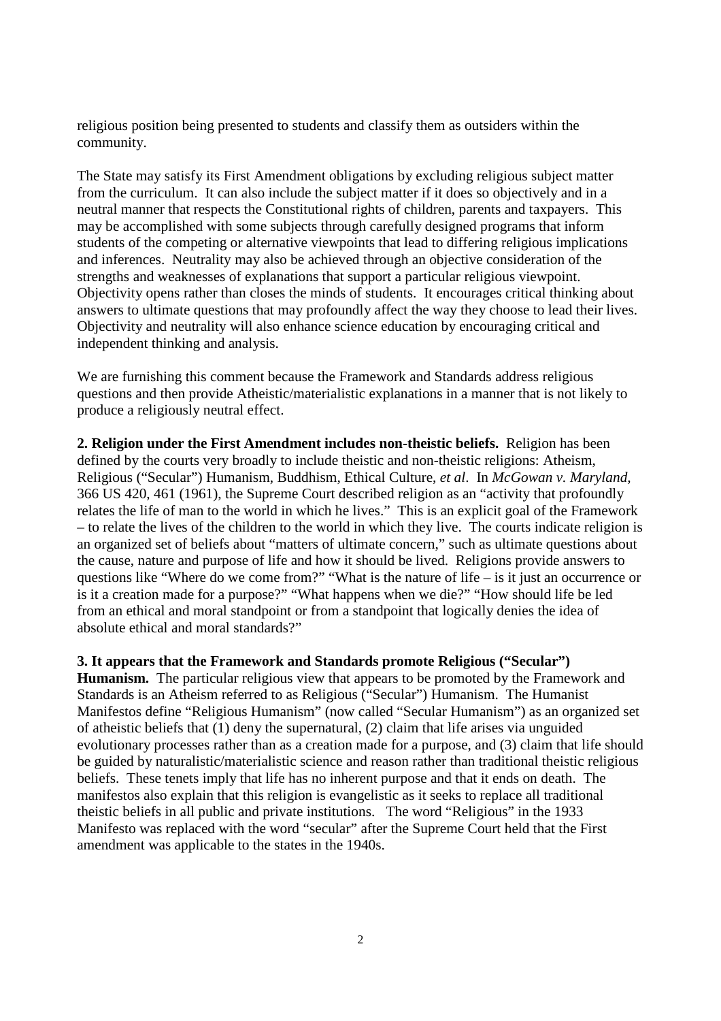religious position being presented to students and classify them as outsiders within the community.

The State may satisfy its First Amendment obligations by excluding religious subject matter from the curriculum. It can also include the subject matter if it does so objectively and in a neutral manner that respects the Constitutional rights of children, parents and taxpayers. This may be accomplished with some subjects through carefully designed programs that inform students of the competing or alternative viewpoints that lead to differing religious implications and inferences. Neutrality may also be achieved through an objective consideration of the strengths and weaknesses of explanations that support a particular religious viewpoint. Objectivity opens rather than closes the minds of students. It encourages critical thinking about answers to ultimate questions that may profoundly affect the way they choose to lead their lives. Objectivity and neutrality will also enhance science education by encouraging critical and independent thinking and analysis.

We are furnishing this comment because the Framework and Standards address religious questions and then provide Atheistic/materialistic explanations in a manner that is not likely to produce a religiously neutral effect.

**2. Religion under the First Amendment includes non-theistic beliefs.** Religion has been defined by the courts very broadly to include theistic and non-theistic religions: Atheism, Religious ("Secular") Humanism, Buddhism, Ethical Culture, *et al*. In *McGowan v. Maryland,* 366 US 420, 461 (1961), the Supreme Court described religion as an "activity that profoundly relates the life of man to the world in which he lives." This is an explicit goal of the Framework – to relate the lives of the children to the world in which they live. The courts indicate religion is an organized set of beliefs about "matters of ultimate concern," such as ultimate questions about the cause, nature and purpose of life and how it should be lived. Religions provide answers to questions like "Where do we come from?" "What is the nature of life – is it just an occurrence or is it a creation made for a purpose?" "What happens when we die?" "How should life be led from an ethical and moral standpoint or from a standpoint that logically denies the idea of absolute ethical and moral standards?"

**3. It appears that the Framework and Standards promote Religious ("Secular") Humanism.** The particular religious view that appears to be promoted by the Framework and Standards is an Atheism referred to as Religious ("Secular") Humanism. The Humanist Manifestos define "Religious Humanism" (now called "Secular Humanism") as an organized set of atheistic beliefs that (1) deny the supernatural, (2) claim that life arises via unguided evolutionary processes rather than as a creation made for a purpose, and (3) claim that life should be guided by naturalistic/materialistic science and reason rather than traditional theistic religious beliefs. These tenets imply that life has no inherent purpose and that it ends on death. The manifestos also explain that this religion is evangelistic as it seeks to replace all traditional theistic beliefs in all public and private institutions. The word "Religious" in the 1933 Manifesto was replaced with the word "secular" after the Supreme Court held that the First amendment was applicable to the states in the 1940s.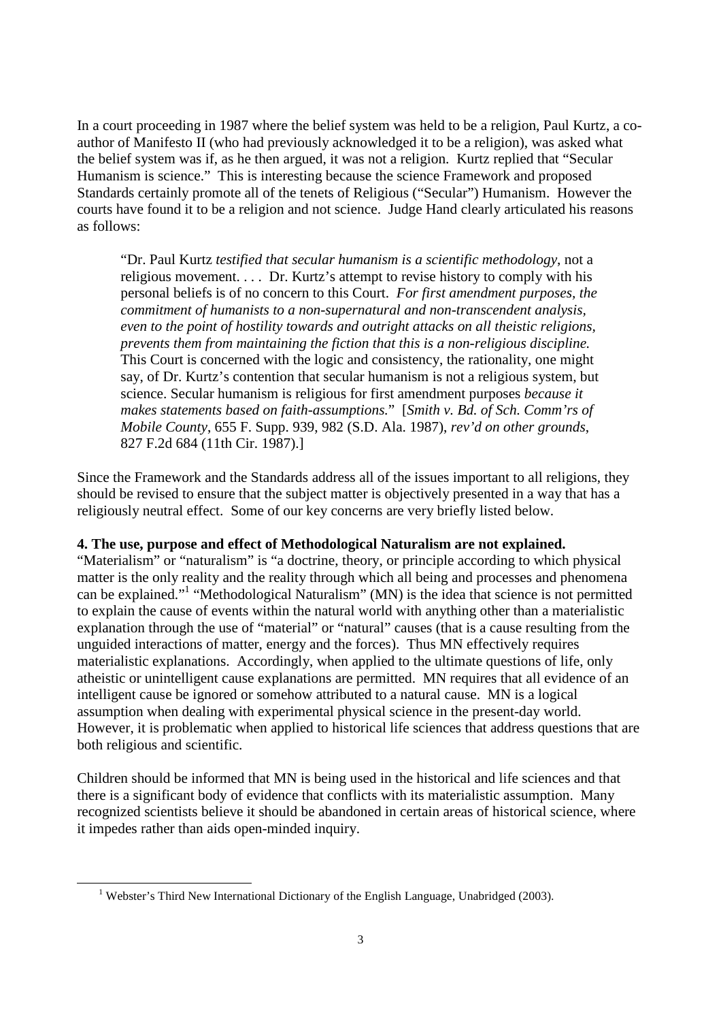In a court proceeding in 1987 where the belief system was held to be a religion, Paul Kurtz, a coauthor of Manifesto II (who had previously acknowledged it to be a religion), was asked what the belief system was if, as he then argued, it was not a religion. Kurtz replied that "Secular Humanism is science." This is interesting because the science Framework and proposed Standards certainly promote all of the tenets of Religious ("Secular") Humanism. However the courts have found it to be a religion and not science. Judge Hand clearly articulated his reasons as follows:

"Dr. Paul Kurtz *testified that secular humanism is a scientific methodology*, not a religious movement. . . . Dr. Kurtz's attempt to revise history to comply with his personal beliefs is of no concern to this Court. *For first amendment purposes, the commitment of humanists to a non-supernatural and non-transcendent analysis, even to the point of hostility towards and outright attacks on all theistic religions, prevents them from maintaining the fiction that this is a non-religious discipline.* This Court is concerned with the logic and consistency, the rationality, one might say, of Dr. Kurtz's contention that secular humanism is not a religious system, but science. Secular humanism is religious for first amendment purposes *because it makes statements based on faith-assumptions.*" [*Smith v. Bd. of Sch. Comm'rs of Mobile County*, 655 F. Supp. 939, 982 (S.D. Ala. 1987), *rev'd on other grounds*, 827 F.2d 684 (11th Cir. 1987).]

Since the Framework and the Standards address all of the issues important to all religions, they should be revised to ensure that the subject matter is objectively presented in a way that has a religiously neutral effect. Some of our key concerns are very briefly listed below.

## **4. The use, purpose and effect of Methodological Naturalism are not explained.**

"Materialism" or "naturalism" is "a doctrine, theory, or principle according to which physical matter is the only reality and the reality through which all being and processes and phenomena can be explained."<sup>1</sup> "Methodological Naturalism" (MN) is the idea that science is not permitted to explain the cause of events within the natural world with anything other than a materialistic explanation through the use of "material" or "natural" causes (that is a cause resulting from the unguided interactions of matter, energy and the forces). Thus MN effectively requires materialistic explanations. Accordingly, when applied to the ultimate questions of life, only atheistic or unintelligent cause explanations are permitted. MN requires that all evidence of an intelligent cause be ignored or somehow attributed to a natural cause. MN is a logical assumption when dealing with experimental physical science in the present-day world. However, it is problematic when applied to historical life sciences that address questions that are both religious and scientific.

Children should be informed that MN is being used in the historical and life sciences and that there is a significant body of evidence that conflicts with its materialistic assumption. Many recognized scientists believe it should be abandoned in certain areas of historical science, where it impedes rather than aids open-minded inquiry.

<sup>&</sup>lt;sup>1</sup> Webster's Third New International Dictionary of the English Language, Unabridged (2003).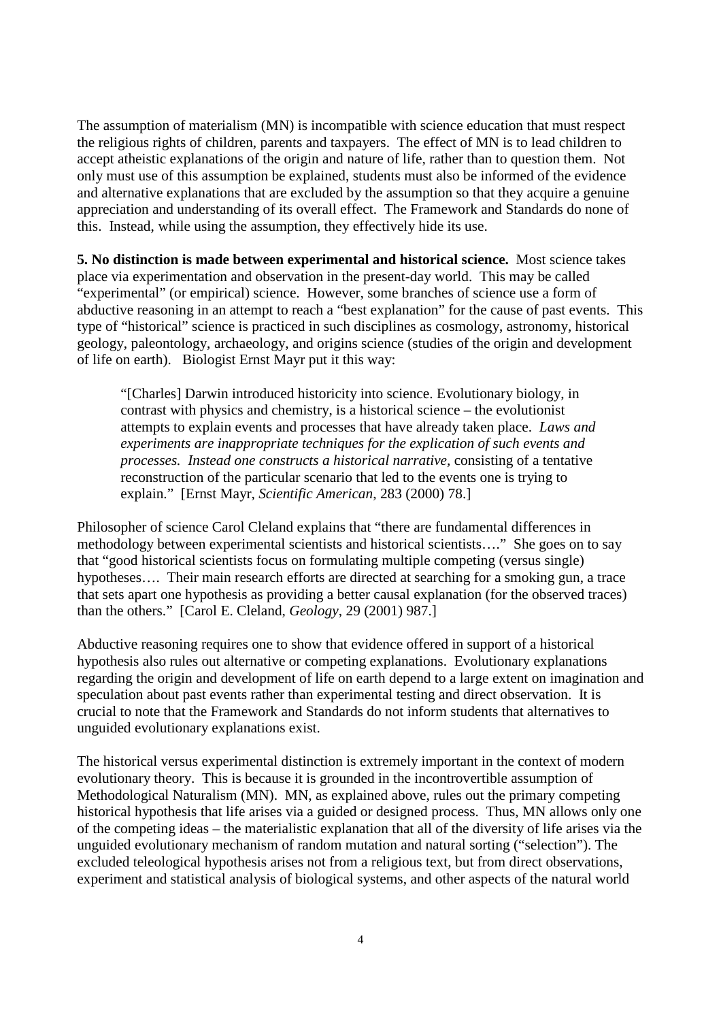The assumption of materialism (MN) is incompatible with science education that must respect the religious rights of children, parents and taxpayers. The effect of MN is to lead children to accept atheistic explanations of the origin and nature of life, rather than to question them. Not only must use of this assumption be explained, students must also be informed of the evidence and alternative explanations that are excluded by the assumption so that they acquire a genuine appreciation and understanding of its overall effect. The Framework and Standards do none of this. Instead, while using the assumption, they effectively hide its use.

**5. No distinction is made between experimental and historical science.** Most science takes place via experimentation and observation in the present-day world. This may be called "experimental" (or empirical) science. However, some branches of science use a form of abductive reasoning in an attempt to reach a "best explanation" for the cause of past events. This type of "historical" science is practiced in such disciplines as cosmology, astronomy, historical geology, paleontology, archaeology, and origins science (studies of the origin and development of life on earth). Biologist Ernst Mayr put it this way:

"[Charles] Darwin introduced historicity into science. Evolutionary biology, in contrast with physics and chemistry, is a historical science – the evolutionist attempts to explain events and processes that have already taken place. *Laws and experiments are inappropriate techniques for the explication of such events and processes. Instead one constructs a historical narrative,* consisting of a tentative reconstruction of the particular scenario that led to the events one is trying to explain." [Ernst Mayr, *Scientific American*, 283 (2000) 78.]

Philosopher of science Carol Cleland explains that "there are fundamental differences in methodology between experimental scientists and historical scientists…." She goes on to say that "good historical scientists focus on formulating multiple competing (versus single) hypotheses.... Their main research efforts are directed at searching for a smoking gun, a trace that sets apart one hypothesis as providing a better causal explanation (for the observed traces) than the others." [Carol E. Cleland, *Geology*, 29 (2001) 987.]

Abductive reasoning requires one to show that evidence offered in support of a historical hypothesis also rules out alternative or competing explanations. Evolutionary explanations regarding the origin and development of life on earth depend to a large extent on imagination and speculation about past events rather than experimental testing and direct observation. It is crucial to note that the Framework and Standards do not inform students that alternatives to unguided evolutionary explanations exist.

The historical versus experimental distinction is extremely important in the context of modern evolutionary theory. This is because it is grounded in the incontrovertible assumption of Methodological Naturalism (MN). MN, as explained above, rules out the primary competing historical hypothesis that life arises via a guided or designed process. Thus, MN allows only one of the competing ideas – the materialistic explanation that all of the diversity of life arises via the unguided evolutionary mechanism of random mutation and natural sorting ("selection"). The excluded teleological hypothesis arises not from a religious text, but from direct observations, experiment and statistical analysis of biological systems, and other aspects of the natural world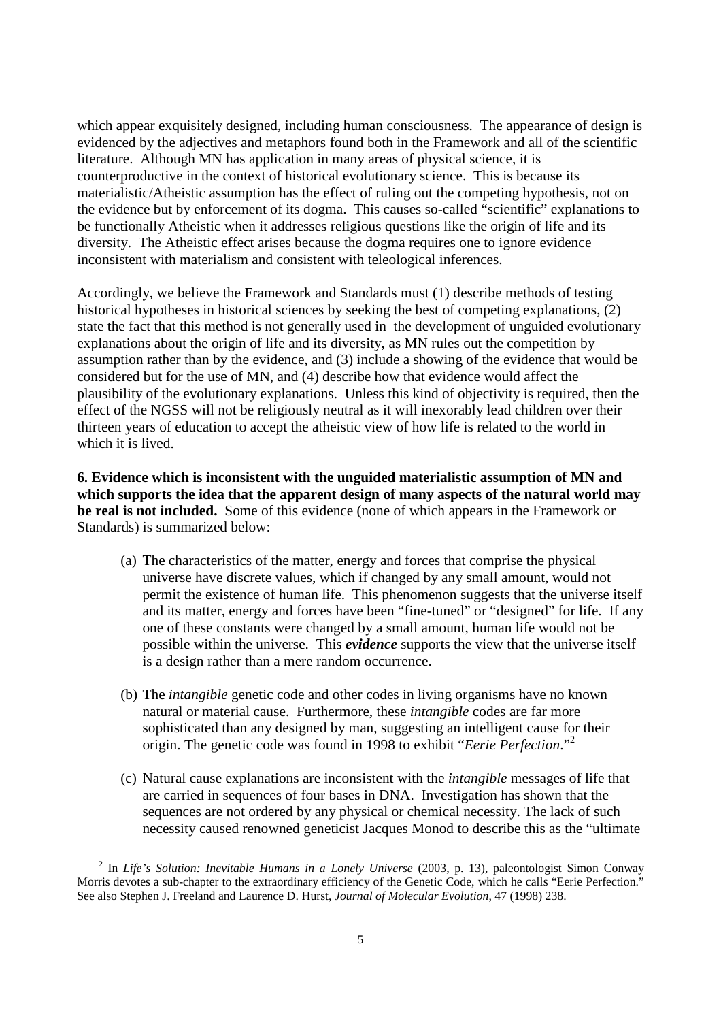which appear exquisitely designed, including human consciousness. The appearance of design is evidenced by the adjectives and metaphors found both in the Framework and all of the scientific literature. Although MN has application in many areas of physical science, it is counterproductive in the context of historical evolutionary science. This is because its materialistic/Atheistic assumption has the effect of ruling out the competing hypothesis, not on the evidence but by enforcement of its dogma. This causes so-called "scientific" explanations to be functionally Atheistic when it addresses religious questions like the origin of life and its diversity. The Atheistic effect arises because the dogma requires one to ignore evidence inconsistent with materialism and consistent with teleological inferences.

Accordingly, we believe the Framework and Standards must (1) describe methods of testing historical hypotheses in historical sciences by seeking the best of competing explanations, (2) state the fact that this method is not generally used in the development of unguided evolutionary explanations about the origin of life and its diversity, as MN rules out the competition by assumption rather than by the evidence, and (3) include a showing of the evidence that would be considered but for the use of MN, and (4) describe how that evidence would affect the plausibility of the evolutionary explanations. Unless this kind of objectivity is required, then the effect of the NGSS will not be religiously neutral as it will inexorably lead children over their thirteen years of education to accept the atheistic view of how life is related to the world in which it is lived.

**6. Evidence which is inconsistent with the unguided materialistic assumption of MN and which supports the idea that the apparent design of many aspects of the natural world may be real is not included.** Some of this evidence (none of which appears in the Framework or Standards) is summarized below:

- (a) The characteristics of the matter, energy and forces that comprise the physical universe have discrete values, which if changed by any small amount, would not permit the existence of human life. This phenomenon suggests that the universe itself and its matter, energy and forces have been "fine-tuned" or "designed" for life. If any one of these constants were changed by a small amount, human life would not be possible within the universe. This *evidence* supports the view that the universe itself is a design rather than a mere random occurrence.
- (b) The *intangible* genetic code and other codes in living organisms have no known natural or material cause. Furthermore, these *intangible* codes are far more sophisticated than any designed by man, suggesting an intelligent cause for their origin. The genetic code was found in 1998 to exhibit "*Eerie Perfection*."<sup>2</sup>
- (c) Natural cause explanations are inconsistent with the *intangible* messages of life that are carried in sequences of four bases in DNA. Investigation has shown that the sequences are not ordered by any physical or chemical necessity. The lack of such necessity caused renowned geneticist Jacques Monod to describe this as the "ultimate

<sup>2</sup> In *Life's Solution: Inevitable Humans in a Lonely Universe* (2003, p. 13), paleontologist Simon Conway Morris devotes a sub-chapter to the extraordinary efficiency of the Genetic Code, which he calls "Eerie Perfection." See also Stephen J. Freeland and Laurence D. Hurst, *Journal of Molecular Evolution*, 47 (1998) 238.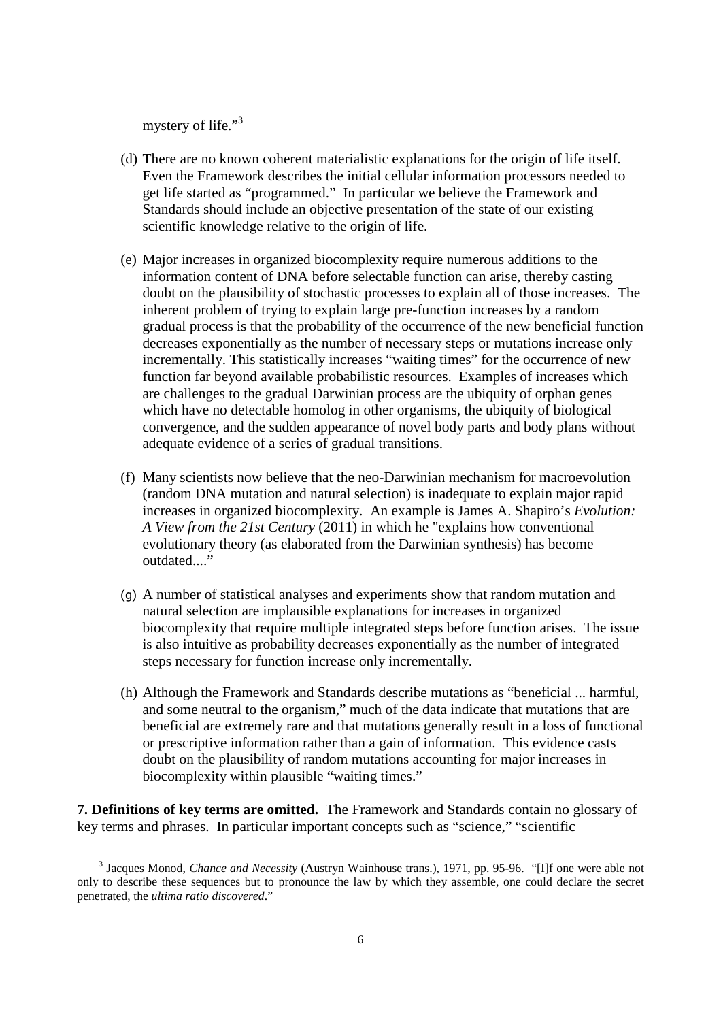mystery of life."<sup>3</sup>

- (d) There are no known coherent materialistic explanations for the origin of life itself. Even the Framework describes the initial cellular information processors needed to get life started as "programmed." In particular we believe the Framework and Standards should include an objective presentation of the state of our existing scientific knowledge relative to the origin of life.
- (e) Major increases in organized biocomplexity require numerous additions to the information content of DNA before selectable function can arise, thereby casting doubt on the plausibility of stochastic processes to explain all of those increases. The inherent problem of trying to explain large pre-function increases by a random gradual process is that the probability of the occurrence of the new beneficial function decreases exponentially as the number of necessary steps or mutations increase only incrementally. This statistically increases "waiting times" for the occurrence of new function far beyond available probabilistic resources. Examples of increases which are challenges to the gradual Darwinian process are the ubiquity of orphan genes which have no detectable homolog in other organisms, the ubiquity of biological convergence, and the sudden appearance of novel body parts and body plans without adequate evidence of a series of gradual transitions.
- (f) Many scientists now believe that the neo-Darwinian mechanism for macroevolution (random DNA mutation and natural selection) is inadequate to explain major rapid increases in organized biocomplexity. An example is James A. Shapiro's *Evolution: A View from the 21st Century* (2011) in which he "explains how conventional evolutionary theory (as elaborated from the Darwinian synthesis) has become outdated...."
- (g) A number of statistical analyses and experiments show that random mutation and natural selection are implausible explanations for increases in organized biocomplexity that require multiple integrated steps before function arises. The issue is also intuitive as probability decreases exponentially as the number of integrated steps necessary for function increase only incrementally.
- (h) Although the Framework and Standards describe mutations as "beneficial ... harmful, and some neutral to the organism," much of the data indicate that mutations that are beneficial are extremely rare and that mutations generally result in a loss of functional or prescriptive information rather than a gain of information. This evidence casts doubt on the plausibility of random mutations accounting for major increases in biocomplexity within plausible "waiting times."

**7. Definitions of key terms are omitted.** The Framework and Standards contain no glossary of key terms and phrases. In particular important concepts such as "science," "scientific

<sup>&</sup>lt;sup>3</sup> Jacques Monod, *Chance and Necessity* (Austryn Wainhouse trans.), 1971, pp. 95-96. "[I]f one were able not only to describe these sequences but to pronounce the law by which they assemble, one could declare the secret penetrated, the *ultima ratio discovered*."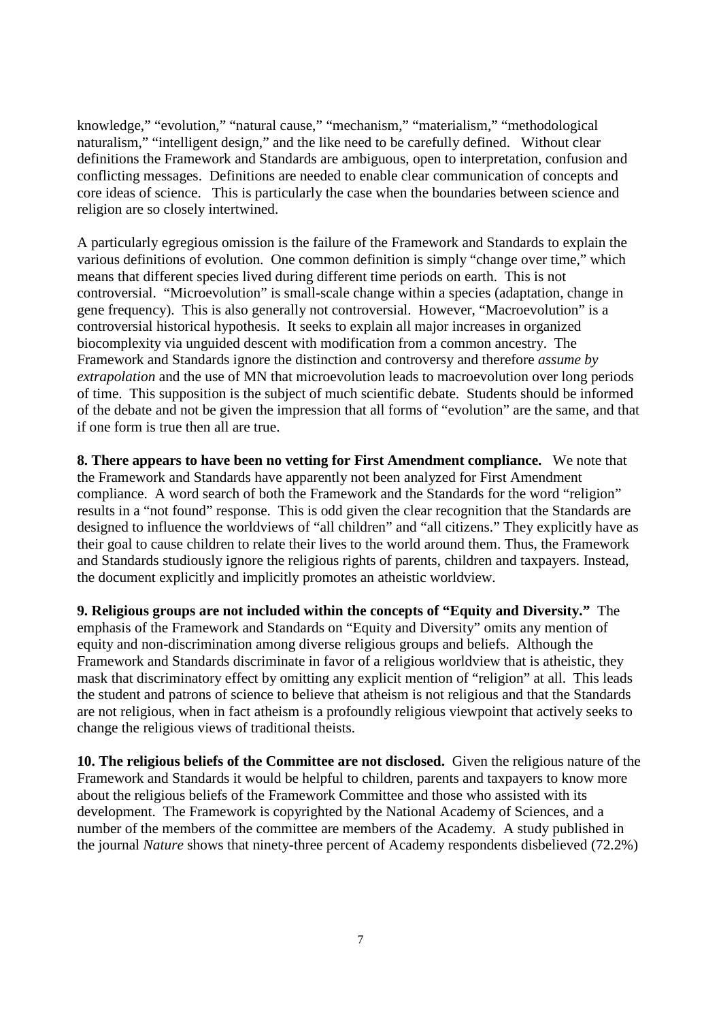knowledge," "evolution," "natural cause," "mechanism," "materialism," "methodological naturalism," "intelligent design," and the like need to be carefully defined. Without clear definitions the Framework and Standards are ambiguous, open to interpretation, confusion and conflicting messages. Definitions are needed to enable clear communication of concepts and core ideas of science. This is particularly the case when the boundaries between science and religion are so closely intertwined.

A particularly egregious omission is the failure of the Framework and Standards to explain the various definitions of evolution. One common definition is simply "change over time," which means that different species lived during different time periods on earth. This is not controversial. "Microevolution" is small-scale change within a species (adaptation, change in gene frequency). This is also generally not controversial. However, "Macroevolution" is a controversial historical hypothesis. It seeks to explain all major increases in organized biocomplexity via unguided descent with modification from a common ancestry. The Framework and Standards ignore the distinction and controversy and therefore *assume by extrapolation* and the use of MN that microevolution leads to macroevolution over long periods of time. This supposition is the subject of much scientific debate. Students should be informed of the debate and not be given the impression that all forms of "evolution" are the same, and that if one form is true then all are true.

**8. There appears to have been no vetting for First Amendment compliance.** We note that the Framework and Standards have apparently not been analyzed for First Amendment compliance. A word search of both the Framework and the Standards for the word "religion" results in a "not found" response. This is odd given the clear recognition that the Standards are designed to influence the worldviews of "all children" and "all citizens." They explicitly have as their goal to cause children to relate their lives to the world around them. Thus, the Framework and Standards studiously ignore the religious rights of parents, children and taxpayers. Instead, the document explicitly and implicitly promotes an atheistic worldview.

**9. Religious groups are not included within the concepts of "Equity and Diversity."** The emphasis of the Framework and Standards on "Equity and Diversity" omits any mention of equity and non-discrimination among diverse religious groups and beliefs. Although the Framework and Standards discriminate in favor of a religious worldview that is atheistic, they mask that discriminatory effect by omitting any explicit mention of "religion" at all. This leads the student and patrons of science to believe that atheism is not religious and that the Standards are not religious, when in fact atheism is a profoundly religious viewpoint that actively seeks to change the religious views of traditional theists.

**10. The religious beliefs of the Committee are not disclosed.** Given the religious nature of the Framework and Standards it would be helpful to children, parents and taxpayers to know more about the religious beliefs of the Framework Committee and those who assisted with its development. The Framework is copyrighted by the National Academy of Sciences, and a number of the members of the committee are members of the Academy. A study published in the journal *Nature* shows that ninety-three percent of Academy respondents disbelieved (72.2%)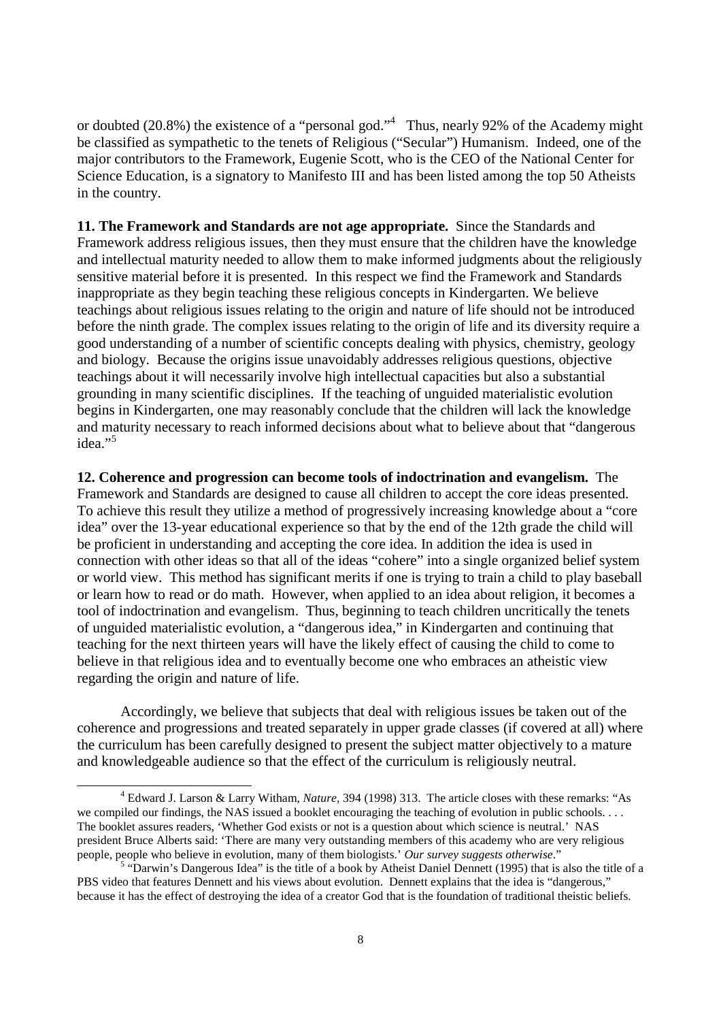or doubted (20.8%) the existence of a "personal god."<sup>4</sup> Thus, nearly 92% of the Academy might be classified as sympathetic to the tenets of Religious ("Secular") Humanism. Indeed, one of the major contributors to the Framework, Eugenie Scott, who is the CEO of the National Center for Science Education, is a signatory to Manifesto III and has been listed among the top 50 Atheists in the country.

**11. The Framework and Standards are not age appropriate.** Since the Standards and Framework address religious issues, then they must ensure that the children have the knowledge and intellectual maturity needed to allow them to make informed judgments about the religiously sensitive material before it is presented. In this respect we find the Framework and Standards inappropriate as they begin teaching these religious concepts in Kindergarten. We believe teachings about religious issues relating to the origin and nature of life should not be introduced before the ninth grade. The complex issues relating to the origin of life and its diversity require a good understanding of a number of scientific concepts dealing with physics, chemistry, geology and biology. Because the origins issue unavoidably addresses religious questions, objective teachings about it will necessarily involve high intellectual capacities but also a substantial grounding in many scientific disciplines. If the teaching of unguided materialistic evolution begins in Kindergarten, one may reasonably conclude that the children will lack the knowledge and maturity necessary to reach informed decisions about what to believe about that "dangerous idea $\cdot$ <sup>5</sup>

**12. Coherence and progression can become tools of indoctrination and evangelism.** The Framework and Standards are designed to cause all children to accept the core ideas presented. To achieve this result they utilize a method of progressively increasing knowledge about a "core idea" over the 13-year educational experience so that by the end of the 12th grade the child will be proficient in understanding and accepting the core idea. In addition the idea is used in connection with other ideas so that all of the ideas "cohere" into a single organized belief system or world view. This method has significant merits if one is trying to train a child to play baseball or learn how to read or do math. However, when applied to an idea about religion, it becomes a tool of indoctrination and evangelism. Thus, beginning to teach children uncritically the tenets of unguided materialistic evolution, a "dangerous idea," in Kindergarten and continuing that teaching for the next thirteen years will have the likely effect of causing the child to come to believe in that religious idea and to eventually become one who embraces an atheistic view regarding the origin and nature of life.

Accordingly, we believe that subjects that deal with religious issues be taken out of the coherence and progressions and treated separately in upper grade classes (if covered at all) where the curriculum has been carefully designed to present the subject matter objectively to a mature and knowledgeable audience so that the effect of the curriculum is religiously neutral.

<sup>4</sup> Edward J. Larson & Larry Witham, *Nature*, 394 (1998) 313. The article closes with these remarks: "As we compiled our findings, the NAS issued a booklet encouraging the teaching of evolution in public schools. . . . The booklet assures readers, 'Whether God exists or not is a question about which science is neutral.' NAS president Bruce Alberts said: 'There are many very outstanding members of this academy who are very religious people, people who believe in evolution, many of them biologists.' *Our survey suggests otherwise*."

<sup>&</sup>lt;sup>5</sup> "Darwin's Dangerous Idea" is the title of a book by Atheist Daniel Dennett (1995) that is also the title of a PBS video that features Dennett and his views about evolution. Dennett explains that the idea is "dangerous," because it has the effect of destroying the idea of a creator God that is the foundation of traditional theistic beliefs.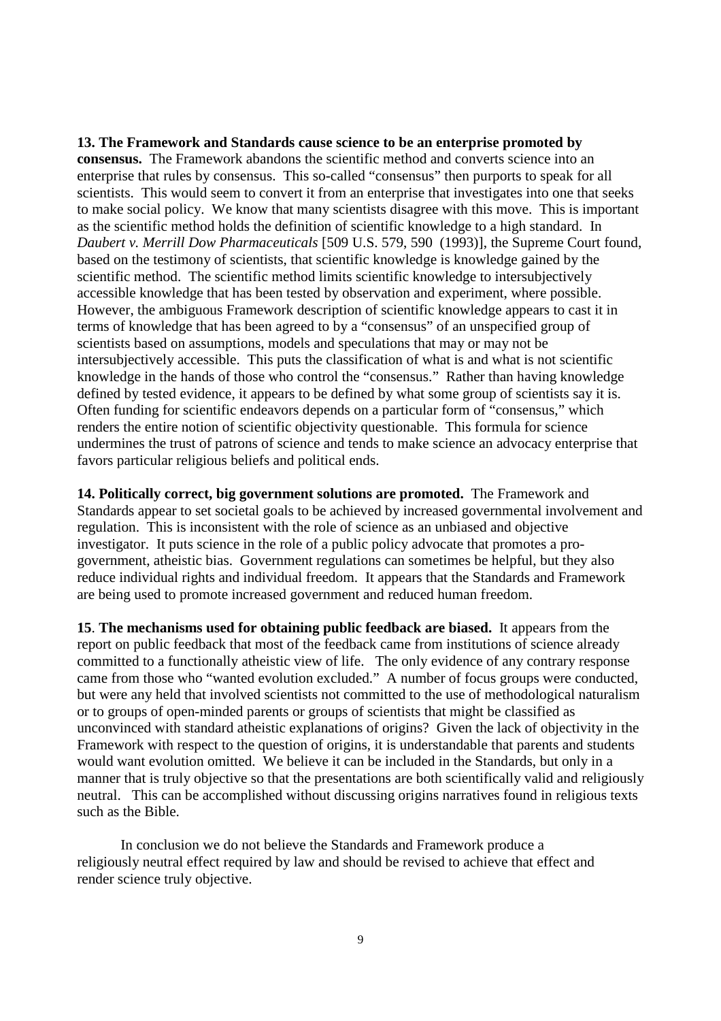## **13. The Framework and Standards cause science to be an enterprise promoted by**

**consensus.** The Framework abandons the scientific method and converts science into an enterprise that rules by consensus. This so-called "consensus" then purports to speak for all scientists. This would seem to convert it from an enterprise that investigates into one that seeks to make social policy. We know that many scientists disagree with this move. This is important as the scientific method holds the definition of scientific knowledge to a high standard. In *Daubert v. Merrill Dow Pharmaceuticals* [509 U.S. 579, 590 (1993)], the Supreme Court found, based on the testimony of scientists, that scientific knowledge is knowledge gained by the scientific method. The scientific method limits scientific knowledge to intersubjectively accessible knowledge that has been tested by observation and experiment, where possible. However, the ambiguous Framework description of scientific knowledge appears to cast it in terms of knowledge that has been agreed to by a "consensus" of an unspecified group of scientists based on assumptions, models and speculations that may or may not be intersubjectively accessible. This puts the classification of what is and what is not scientific knowledge in the hands of those who control the "consensus." Rather than having knowledge defined by tested evidence, it appears to be defined by what some group of scientists say it is. Often funding for scientific endeavors depends on a particular form of "consensus," which renders the entire notion of scientific objectivity questionable. This formula for science undermines the trust of patrons of science and tends to make science an advocacy enterprise that favors particular religious beliefs and political ends.

**14. Politically correct, big government solutions are promoted.** The Framework and Standards appear to set societal goals to be achieved by increased governmental involvement and regulation. This is inconsistent with the role of science as an unbiased and objective investigator. It puts science in the role of a public policy advocate that promotes a progovernment, atheistic bias. Government regulations can sometimes be helpful, but they also reduce individual rights and individual freedom. It appears that the Standards and Framework are being used to promote increased government and reduced human freedom.

**15**. **The mechanisms used for obtaining public feedback are biased.** It appears from the report on public feedback that most of the feedback came from institutions of science already committed to a functionally atheistic view of life. The only evidence of any contrary response came from those who "wanted evolution excluded." A number of focus groups were conducted, but were any held that involved scientists not committed to the use of methodological naturalism or to groups of open-minded parents or groups of scientists that might be classified as unconvinced with standard atheistic explanations of origins? Given the lack of objectivity in the Framework with respect to the question of origins, it is understandable that parents and students would want evolution omitted. We believe it can be included in the Standards, but only in a manner that is truly objective so that the presentations are both scientifically valid and religiously neutral. This can be accomplished without discussing origins narratives found in religious texts such as the Bible.

In conclusion we do not believe the Standards and Framework produce a religiously neutral effect required by law and should be revised to achieve that effect and render science truly objective.